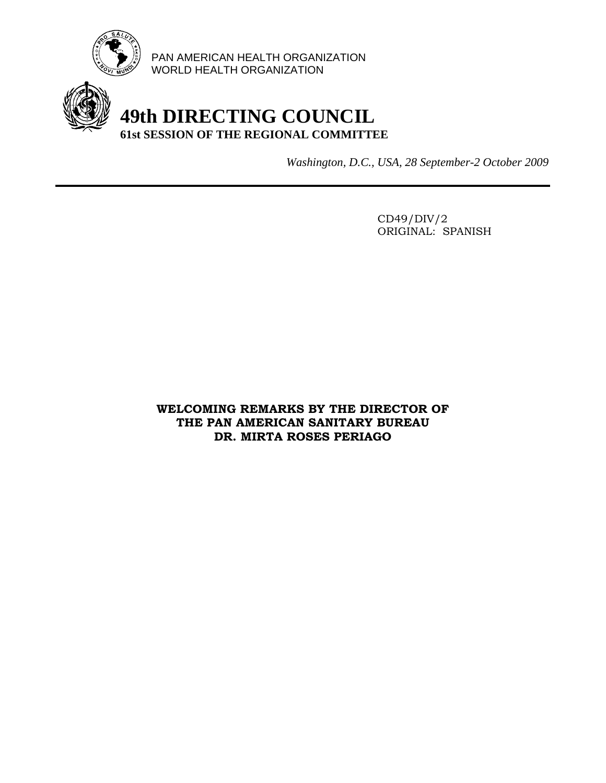

PAN AMERICAN HEALTH ORGANIZATION WORLD HEALTH ORGANIZATION

## **49th DIRECTING COUNCIL 61st SESSION OF THE REGIONAL COMMITTEE**

*Washington, D.C., USA, 28 September-2 October 2009*

 CD49/DIV/2 ORIGINAL: SPANISH

**WELCOMING REMARKS BY THE DIRECTOR OF THE PAN AMERICAN SANITARY BUREAU DR. MIRTA ROSES PERIAGO**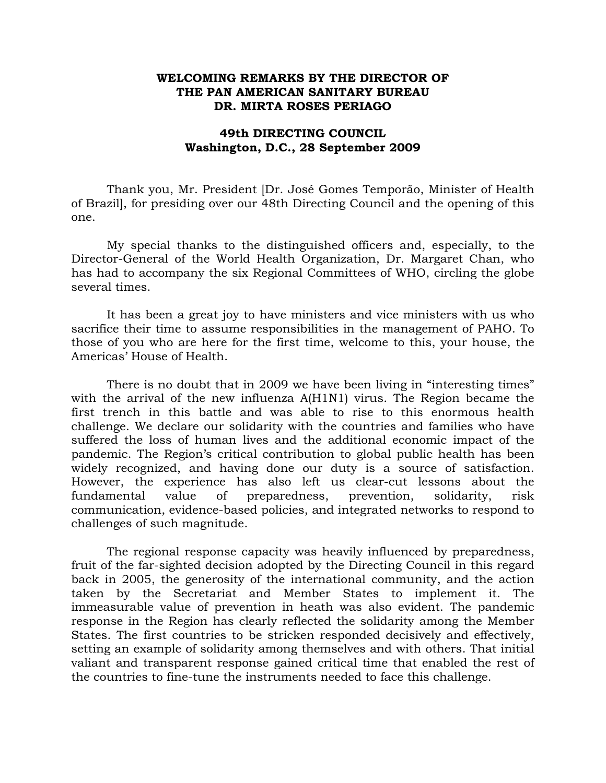## **WELCOMING REMARKS BY THE DIRECTOR OF THE PAN AMERICAN SANITARY BUREAU DR. MIRTA ROSES PERIAGO**

## **49th DIRECTING COUNCIL Washington, D.C., 28 September 2009**

Thank you, Mr. President [Dr. José Gomes Temporão, Minister of Health of Brazil], for presiding over our 48th Directing Council and the opening of this one.

My special thanks to the distinguished officers and, especially, to the Director-General of the World Health Organization, Dr. Margaret Chan, who has had to accompany the six Regional Committees of WHO, circling the globe several times.

 It has been a great joy to have ministers and vice ministers with us who sacrifice their time to assume responsibilities in the management of PAHO. To those of you who are here for the first time, welcome to this, your house, the Americas' House of Health.

 There is no doubt that in 2009 we have been living in "interesting times" with the arrival of the new influenza A(H1N1) virus. The Region became the first trench in this battle and was able to rise to this enormous health challenge. We declare our solidarity with the countries and families who have suffered the loss of human lives and the additional economic impact of the pandemic. The Region's critical contribution to global public health has been widely recognized, and having done our duty is a source of satisfaction. However, the experience has also left us clear-cut lessons about the fundamental value of preparedness, prevention, solidarity, risk communication, evidence-based policies, and integrated networks to respond to challenges of such magnitude.

 The regional response capacity was heavily influenced by preparedness, fruit of the far-sighted decision adopted by the Directing Council in this regard back in 2005, the generosity of the international community, and the action taken by the Secretariat and Member States to implement it. The immeasurable value of prevention in heath was also evident. The pandemic response in the Region has clearly reflected the solidarity among the Member States. The first countries to be stricken responded decisively and effectively, setting an example of solidarity among themselves and with others. That initial valiant and transparent response gained critical time that enabled the rest of the countries to fine-tune the instruments needed to face this challenge.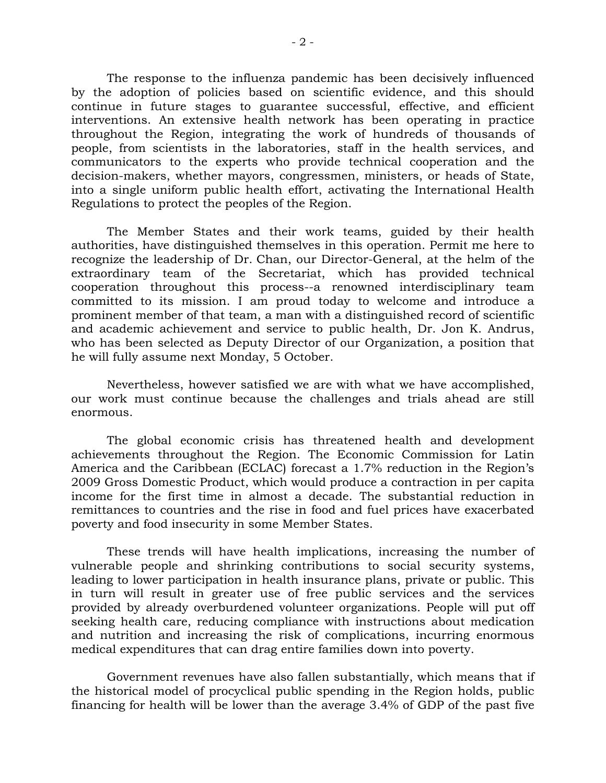The response to the influenza pandemic has been decisively influenced by the adoption of policies based on scientific evidence, and this should continue in future stages to guarantee successful, effective, and efficient interventions. An extensive health network has been operating in practice throughout the Region, integrating the work of hundreds of thousands of people, from scientists in the laboratories, staff in the health services, and communicators to the experts who provide technical cooperation and the decision-makers, whether mayors, congressmen, ministers, or heads of State, into a single uniform public health effort, activating the International Health Regulations to protect the peoples of the Region.

 The Member States and their work teams, guided by their health authorities, have distinguished themselves in this operation. Permit me here to recognize the leadership of Dr. Chan, our Director-General, at the helm of the extraordinary team of the Secretariat, which has provided technical cooperation throughout this process--a renowned interdisciplinary team committed to its mission. I am proud today to welcome and introduce a prominent member of that team, a man with a distinguished record of scientific and academic achievement and service to public health, Dr. Jon K. Andrus, who has been selected as Deputy Director of our Organization, a position that he will fully assume next Monday, 5 October.

 Nevertheless, however satisfied we are with what we have accomplished, our work must continue because the challenges and trials ahead are still enormous.

 The global economic crisis has threatened health and development achievements throughout the Region. The Economic Commission for Latin America and the Caribbean (ECLAC) forecast a 1.7% reduction in the Region's 2009 Gross Domestic Product, which would produce a contraction in per capita income for the first time in almost a decade. The substantial reduction in remittances to countries and the rise in food and fuel prices have exacerbated poverty and food insecurity in some Member States.

These trends will have health implications, increasing the number of vulnerable people and shrinking contributions to social security systems, leading to lower participation in health insurance plans, private or public. This in turn will result in greater use of free public services and the services provided by already overburdened volunteer organizations. People will put off seeking health care, reducing compliance with instructions about medication and nutrition and increasing the risk of complications, incurring enormous medical expenditures that can drag entire families down into poverty.

Government revenues have also fallen substantially, which means that if the historical model of procyclical public spending in the Region holds, public financing for health will be lower than the average 3.4% of GDP of the past five